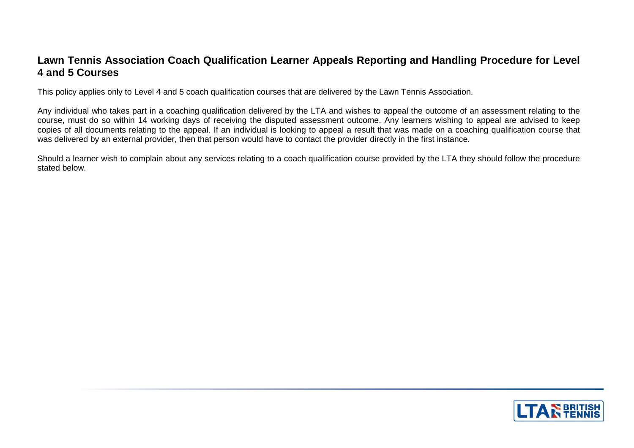## **Lawn Tennis Association Coach Qualification Learner Appeals Reporting and Handling Procedure for Level 4 and 5 Courses**

This policy applies only to Level 4 and 5 coach qualification courses that are delivered by the Lawn Tennis Association.

Any individual who takes part in a coaching qualification delivered by the LTA and wishes to appeal the outcome of an assessment relating to the course, must do so within 14 working days of receiving the disputed assessment outcome. Any learners wishing to appeal are advised to keep copies of all documents relating to the appeal. If an individual is looking to appeal a result that was made on a coaching qualification course that was delivered by an external provider, then that person would have to contact the provider directly in the first instance.

Should a learner wish to complain about any services relating to a coach qualification course provided by the LTA they should follow the procedure stated below.

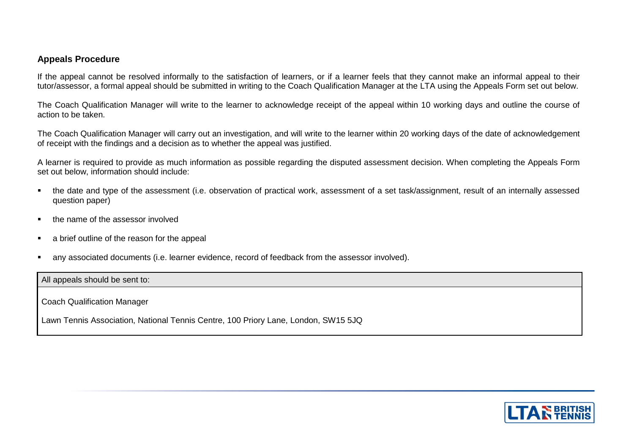## **Appeals Procedure**

If the appeal cannot be resolved informally to the satisfaction of learners, or if a learner feels that they cannot make an informal appeal to their tutor/assessor, a formal appeal should be submitted in writing to the Coach Qualification Manager at the LTA using the Appeals Form set out below.

The Coach Qualification Manager will write to the learner to acknowledge receipt of the appeal within 10 working days and outline the course of action to be taken.

The Coach Qualification Manager will carry out an investigation, and will write to the learner within 20 working days of the date of acknowledgement of receipt with the findings and a decision as to whether the appeal was justified.

A learner is required to provide as much information as possible regarding the disputed assessment decision. When completing the Appeals Form set out below, information should include:

- the date and type of the assessment (i.e. observation of practical work, assessment of a set task/assignment, result of an internally assessed question paper)
- **the name of the assessor involved**
- **a** a brief outline of the reason for the appeal
- any associated documents (i.e. learner evidence, record of feedback from the assessor involved).

All appeals should be sent to:

Coach Qualification Manager

Lawn Tennis Association, National Tennis Centre, 100 Priory Lane, London, SW15 5JQ

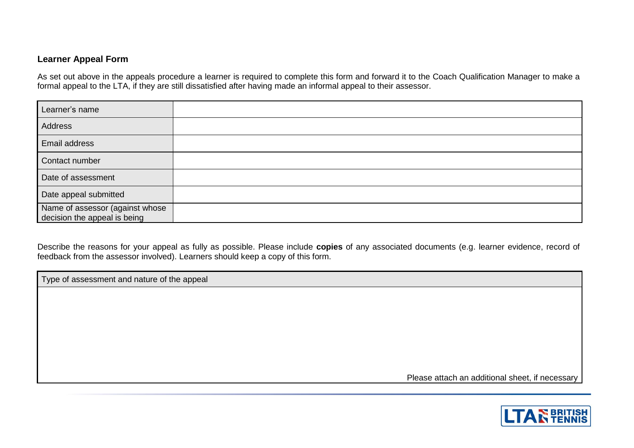## **Learner Appeal Form**

As set out above in the appeals procedure a learner is required to complete this form and forward it to the Coach Qualification Manager to make a formal appeal to the LTA, if they are still dissatisfied after having made an informal appeal to their assessor.

| Learner's name                                                  |  |
|-----------------------------------------------------------------|--|
| Address                                                         |  |
| Email address                                                   |  |
| Contact number                                                  |  |
| Date of assessment                                              |  |
| Date appeal submitted                                           |  |
| Name of assessor (against whose<br>decision the appeal is being |  |

Describe the reasons for your appeal as fully as possible. Please include **copies** of any associated documents (e.g. learner evidence, record of feedback from the assessor involved). Learners should keep a copy of this form.

Type of assessment and nature of the appeal

Please attach an additional sheet, if necessary